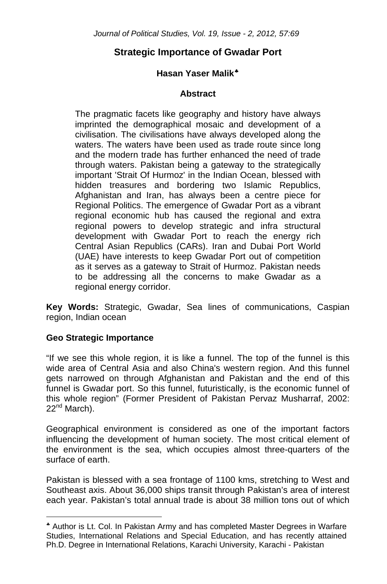### **Hasan Yaser Malik**[♣](#page-0-0)

### **Abstract**

The pragmatic facets like geography and history have always imprinted the demographical mosaic and development of a civilisation. The civilisations have always developed along the waters. The waters have been used as trade route since long and the modern trade has further enhanced the need of trade through waters. Pakistan being a gateway to the strategically important 'Strait Of Hurmoz' in the Indian Ocean, blessed with hidden treasures and bordering two Islamic Republics, Afghanistan and Iran, has always been a centre piece for Regional Politics. The emergence of Gwadar Port as a vibrant regional economic hub has caused the regional and extra regional powers to develop strategic and infra structural development with Gwadar Port to reach the energy rich Central Asian Republics (CARs). Iran and Dubai Port World (UAE) have interests to keep Gwadar Port out of competition as it serves as a gateway to Strait of Hurmoz. Pakistan needs to be addressing all the concerns to make Gwadar as a regional energy corridor.

**Key Words:** Strategic, Gwadar, Sea lines of communications, Caspian region, Indian ocean

### **Geo Strategic Importance**

 $\overline{a}$ 

"If we see this whole region, it is like a funnel. The top of the funnel is this wide area of Central Asia and also China's western region. And this funnel gets narrowed on through Afghanistan and Pakistan and the end of this funnel is Gwadar port. So this funnel, futuristically, is the economic funnel of this whole region" (Former President of Pakistan Pervaz Musharraf, 2002: 22<sup>nd</sup> March).

Geographical environment is considered as one of the important factors influencing the development of human society. The most critical element of the environment is the sea, which occupies almost three-quarters of the surface of earth.

Pakistan is blessed with a sea frontage of 1100 kms, stretching to West and Southeast axis. About 36,000 ships transit through Pakistan's area of interest each year. Pakistan's total annual trade is about 38 million tons out of which

<span id="page-0-0"></span><sup>♣</sup> Author is Lt. Col. In Pakistan Army and has completed Master Degrees in Warfare Studies, International Relations and Special Education, and has recently attained Ph.D. Degree in International Relations, Karachi University, Karachi - Pakistan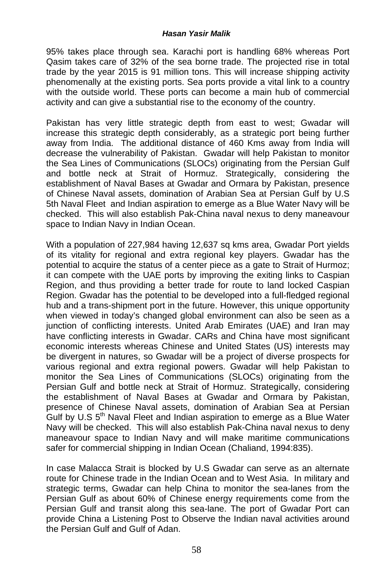95% takes place through sea. Karachi port is handling 68% whereas Port Qasim takes care of 32% of the sea borne trade. The projected rise in total trade by the year 2015 is 91 million tons. This will increase shipping activity phenomenally at the existing ports. Sea ports provide a vital link to a country with the outside world. These ports can become a main hub of commercial activity and can give a substantial rise to the economy of the country.

Pakistan has very little strategic depth from east to west; Gwadar will increase this strategic depth considerably, as a strategic port being further away from India. The additional distance of 460 Kms away from India will decrease the vulnerability of Pakistan. Gwadar will help Pakistan to monitor the Sea Lines of Communications (SLOCs) originating from the Persian Gulf and bottle neck at Strait of Hormuz. Strategically, considering the establishment of Naval Bases at Gwadar and Ormara by Pakistan, presence of Chinese Naval assets, domination of Arabian Sea at Persian Gulf by U.S 5th Naval Fleet and Indian aspiration to emerge as a Blue Water Navy will be checked. This will also establish Pak-China naval nexus to deny maneavour space to Indian Navy in Indian Ocean.

With a population of 227,984 having 12,637 sq kms area, Gwadar Port yields of its vitality for regional and extra regional key players. Gwadar has the potential to acquire the status of a center piece as a gate to Strait of Hurmoz; it can compete with the UAE ports by improving the exiting links to Caspian Region, and thus providing a better trade for route to land locked Caspian Region. Gwadar has the potential to be developed into a full-fledged regional hub and a trans-shipment port in the future. However, this unique opportunity when viewed in today's changed global environment can also be seen as a junction of conflicting interests. United Arab Emirates (UAE) and Iran may have conflicting interests in Gwadar. CARs and China have most significant economic interests whereas Chinese and United States (US) interests may be divergent in natures, so Gwadar will be a project of diverse prospects for various regional and extra regional powers. Gwadar will help Pakistan to monitor the Sea Lines of Communications (SLOCs) originating from the Persian Gulf and bottle neck at Strait of Hormuz. Strategically, considering the establishment of Naval Bases at Gwadar and Ormara by Pakistan, presence of Chinese Naval assets, domination of Arabian Sea at Persian Gulf by U.S  $5<sup>th</sup>$  Naval Fleet and Indian aspiration to emerge as a Blue Water Navy will be checked. This will also establish Pak-China naval nexus to deny maneavour space to Indian Navy and will make maritime communications safer for commercial shipping in Indian Ocean (Chaliand, 1994:835).

In case Malacca Strait is blocked by U.S Gwadar can serve as an alternate route for Chinese trade in the Indian Ocean and to West Asia. In military and strategic terms, Gwadar can help China to monitor the sea-lanes from the Persian Gulf as about 60% of Chinese energy requirements come from the Persian Gulf and transit along this sea-lane. The port of Gwadar Port can provide China a Listening Post to Observe the Indian naval activities around the Persian Gulf and Gulf of Adan.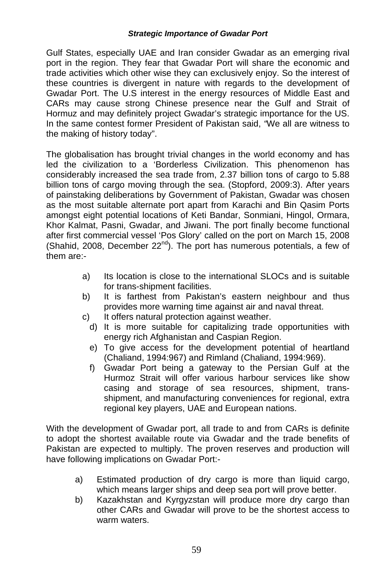Gulf States, especially UAE and Iran consider Gwadar as an emerging rival port in the region. They fear that Gwadar Port will share the economic and trade activities which other wise they can exclusively enjoy. So the interest of these countries is divergent in nature with regards to the development of Gwadar Port. The U.S interest in the energy resources of Middle East and CARs may cause strong Chinese presence near the Gulf and Strait of Hormuz and may definitely project Gwadar's strategic importance for the US. In the same contest former President of Pakistan said, *"*We all are witness to the making of history today".

The globalisation has brought trivial changes in the world economy and has led the civilization to a 'Borderless Civilization. This phenomenon has considerably increased the sea trade from, 2.37 billion tons of cargo to 5.88 billion tons of cargo moving through the sea. (Stopford, 2009:3). After years of painstaking deliberations by Government of Pakistan, Gwadar was chosen as the most suitable alternate port apart from Karachi and Bin Qasim Ports amongst eight potential locations of Keti Bandar, Sonmiani, Hingol, Ormara, Khor Kalmat, Pasni, Gwadar, and Jiwani. The port finally become functional after first commercial vessel 'Pos Glory' called on the port on March 15, 2008 (Shahid, 2008, December  $22^{nd}$ ). The port has numerous potentials, a few of them are:-

- a) Its location is close to the international SLOCs and is suitable for trans-shipment facilities.
- b) It is farthest from Pakistan's eastern neighbour and thus provides more warning time against air and naval threat.
- c) It offers natural protection against weather.
	- d) It is more suitable for capitalizing trade opportunities with energy rich Afghanistan and Caspian Region.
	- e) To give access for the development potential of heartland (Chaliand, 1994:967) and Rimland (Chaliand, 1994:969).
	- f) Gwadar Port being a gateway to the Persian Gulf at the Hurmoz Strait will offer various harbour services like show casing and storage of sea resources, shipment, transshipment, and manufacturing conveniences for regional, extra regional key players, UAE and European nations.

With the development of Gwadar port, all trade to and from CARs is definite to adopt the shortest available route via Gwadar and the trade benefits of Pakistan are expected to multiply. The proven reserves and production will have following implications on Gwadar Port:-

- a) Estimated production of dry cargo is more than liquid cargo, which means larger ships and deep sea port will prove better.
- b) Kazakhstan and Kyrgyzstan will produce more dry cargo than other CARs and Gwadar will prove to be the shortest access to warm waters.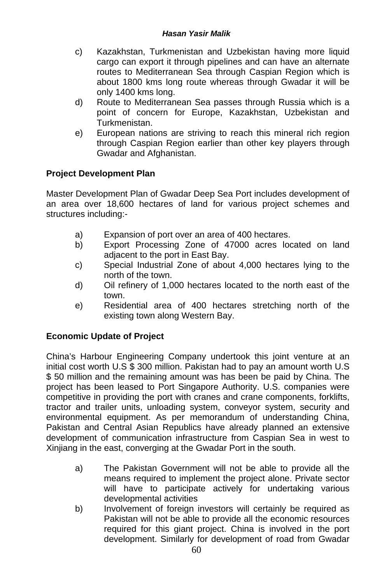- c) Kazakhstan, Turkmenistan and Uzbekistan having more liquid cargo can export it through pipelines and can have an alternate routes to Mediterranean Sea through Caspian Region which is about 1800 kms long route whereas through Gwadar it will be only 1400 kms long.
- d) Route to Mediterranean Sea passes through Russia which is a point of concern for Europe, Kazakhstan, Uzbekistan and Turkmenistan.
- e) European nations are striving to reach this mineral rich region through Caspian Region earlier than other key players through Gwadar and Afghanistan.

## **Project Development Plan**

Master Development Plan of Gwadar Deep Sea Port includes development of an area over 18,600 hectares of land for various project schemes and structures including:-

- a) Expansion of port over an area of 400 hectares.
- b) Export Processing Zone of 47000 acres located on land adjacent to the port in East Bay.
- c) Special Industrial Zone of about 4,000 hectares lying to the north of the town.
- d) Oil refinery of 1,000 hectares located to the north east of the town.
- e) Residential area of 400 hectares stretching north of the existing town along Western Bay.

## **Economic Update of Project**

China's Harbour Engineering Company undertook this joint venture at an initial cost worth U.S \$ 300 million. Pakistan had to pay an amount worth U.S \$ 50 million and the remaining amount was has been be paid by China. The project has been leased to Port Singapore Authority. U.S. companies were competitive in providing the port with cranes and crane components, forklifts, tractor and trailer units, unloading system, conveyor system, security and environmental equipment. As per memorandum of understanding China, Pakistan and Central Asian Republics have already planned an extensive development of communication infrastructure from Caspian Sea in west to Xinjiang in the east, converging at the Gwadar Port in the south.

- a) The Pakistan Government will not be able to provide all the means required to implement the project alone. Private sector will have to participate actively for undertaking various developmental activities
- b) Involvement of foreign investors will certainly be required as Pakistan will not be able to provide all the economic resources required for this giant project. China is involved in the port development. Similarly for development of road from Gwadar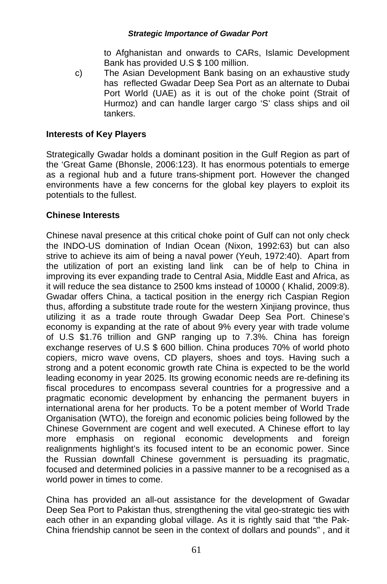to Afghanistan and onwards to CARs, Islamic Development Bank has provided U.S \$ 100 million.

c) The Asian Development Bank basing on an exhaustive study has reflected Gwadar Deep Sea Port as an alternate to Dubai Port World (UAE) as it is out of the choke point (Strait of Hurmoz) and can handle larger cargo 'S' class ships and oil tankers.

### **Interests of Key Players**

Strategically Gwadar holds a dominant position in the Gulf Region as part of the 'Great Game (Bhonsle, 2006:123). It has enormous potentials to emerge as a regional hub and a future trans-shipment port. However the changed environments have a few concerns for the global key players to exploit its potentials to the fullest.

### **Chinese Interests**

Chinese naval presence at this critical choke point of Gulf can not only check the INDO-US domination of Indian Ocean (Nixon, 1992:63) but can also strive to achieve its aim of being a naval power (Yeuh, 1972:40). Apart from the utilization of port an existing land link can be of help to China in improving its ever expanding trade to Central Asia, Middle East and Africa, as it will reduce the sea distance to 2500 kms instead of 10000 ( Khalid, 2009:8). Gwadar offers China, a tactical position in the energy rich Caspian Region thus, affording a substitute trade route for the western Xinjiang province, thus utilizing it as a trade route through Gwadar Deep Sea Port. Chinese's economy is expanding at the rate of about 9% every year with trade volume of U.S \$1.76 trillion and GNP ranging up to 7.3%. China has foreign exchange reserves of U.S \$ 600 billion. China produces 70% of world photo copiers, micro wave ovens, CD players, shoes and toys. Having such a strong and a potent economic growth rate China is expected to be the world leading economy in year 2025. Its growing economic needs are re-defining its fiscal procedures to encompass several countries for a progressive and a pragmatic economic development by enhancing the permanent buyers in international arena for her products. To be a potent member of World Trade Organisation (WTO), the foreign and economic policies being followed by the Chinese Government are cogent and well executed. A Chinese effort to lay more emphasis on regional economic developments and foreign realignments highlight's its focused intent to be an economic power. Since the Russian downfall Chinese government is persuading its pragmatic, focused and determined policies in a passive manner to be a recognised as a world power in times to come.

China has provided an all-out assistance for the development of Gwadar Deep Sea Port to Pakistan thus, strengthening the vital geo-strategic ties with each other in an expanding global village. As it is rightly said that "the Pak-China friendship cannot be seen in the context of dollars and pounds" , and it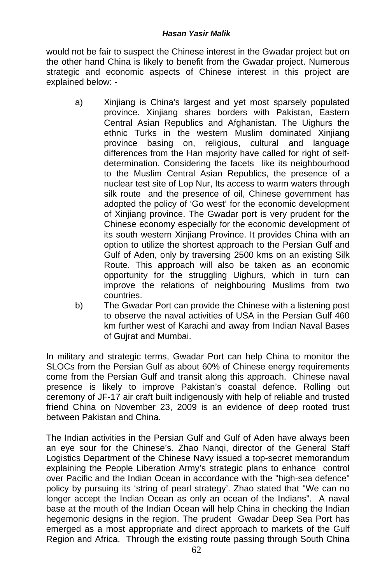would not be fair to suspect the Chinese interest in the Gwadar project but on the other hand China is likely to benefit from the Gwadar project. Numerous strategic and economic aspects of Chinese interest in this project are explained below: -

- a) Xinjiang is China's largest and yet most sparsely populated province. Xinjiang shares borders with Pakistan, Eastern Central Asian Republics and Afghanistan. The Uighurs the ethnic Turks in the western Muslim dominated Xinjiang province basing on, religious, cultural and language differences from the Han majority have called for right of selfdetermination. Considering the facets like its neighbourhood to the Muslim Central Asian Republics, the presence of a nuclear test site of Lop Nur, Its access to warm waters through silk route and the presence of oil, Chinese government has adopted the policy of 'Go west' for the economic development of Xinjiang province. The Gwadar port is very prudent for the Chinese economy especially for the economic development of its south western Xinjiang Province. It provides China with an option to utilize the shortest approach to the Persian Gulf and Gulf of Aden, only by traversing 2500 kms on an existing Silk Route. This approach will also be taken as an economic opportunity for the struggling Uighurs, which in turn can improve the relations of neighbouring Muslims from two countries.
- b) The Gwadar Port can provide the Chinese with a listening post to observe the naval activities of USA in the Persian Gulf 460 km further west of Karachi and away from Indian Naval Bases of Gujrat and Mumbai.

In military and strategic terms, Gwadar Port can help China to monitor the SLOCs from the Persian Gulf as about 60% of Chinese energy requirements come from the Persian Gulf and transit along this approach. Chinese naval presence is likely to improve Pakistan's coastal defence. Rolling out ceremony of JF-17 air craft built indigenously with help of reliable and trusted friend China on November 23, 2009 is an evidence of deep rooted trust between Pakistan and China.

The Indian activities in the Persian Gulf and Gulf of Aden have always been an eye sour for the Chinese's. Zhao Nanqi, director of the General Staff Logistics Department of the Chinese Navy issued a top-secret memorandum explaining the People Liberation Army's strategic plans to enhance control over Pacific and the Indian Ocean in accordance with the "high-sea defence" policy by pursuing its 'string of pearl strategy'. Zhao stated that "We can no longer accept the Indian Ocean as only an ocean of the Indians". A naval base at the mouth of the Indian Ocean will help China in checking the Indian hegemonic designs in the region. The prudent Gwadar Deep Sea Port has emerged as a most appropriate and direct approach to markets of the Gulf Region and Africa. Through the existing route passing through South China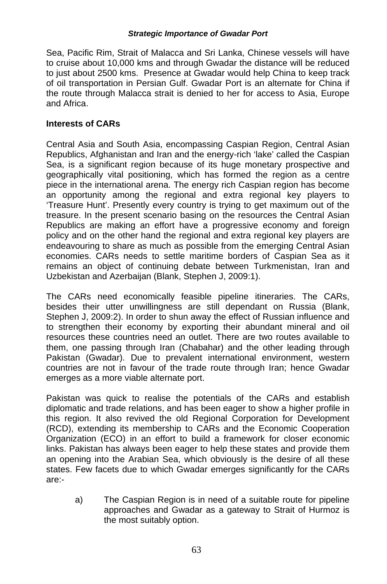Sea, Pacific Rim, Strait of Malacca and Sri Lanka, Chinese vessels will have to cruise about 10,000 kms and through Gwadar the distance will be reduced to just about 2500 kms. Presence at Gwadar would help China to keep track of oil transportation in Persian Gulf. Gwadar Port is an alternate for China if the route through Malacca strait is denied to her for access to Asia, Europe and Africa.

### **Interests of CARs**

Central Asia and South Asia, encompassing Caspian Region, Central Asian Republics, Afghanistan and Iran and the energy-rich 'lake' called the Caspian Sea, is a significant region because of its huge monetary prospective and geographically vital positioning, which has formed the region as a centre piece in the international arena. The energy rich Caspian region has become an opportunity among the regional and extra regional key players to 'Treasure Hunt'. Presently every country is trying to get maximum out of the treasure. In the present scenario basing on the resources the Central Asian Republics are making an effort have a progressive economy and foreign policy and on the other hand the regional and extra regional key players are endeavouring to share as much as possible from the emerging Central Asian economies. CARs needs to settle maritime borders of Caspian Sea as it remains an object of continuing debate between Turkmenistan, Iran and Uzbekistan and Azerbaijan (Blank, Stephen J, 2009:1).

The CARs need economically feasible pipeline itineraries. The CARs, besides their utter unwillingness are still dependant on Russia (Blank, Stephen J, 2009:2). In order to shun away the effect of Russian influence and to strengthen their economy by exporting their abundant mineral and oil resources these countries need an outlet. There are two routes available to them, one passing through Iran (Chabahar) and the other leading through Pakistan (Gwadar). Due to prevalent international environment, western countries are not in favour of the trade route through Iran; hence Gwadar emerges as a more viable alternate port.

Pakistan was quick to realise the potentials of the CARs and establish diplomatic and trade relations, and has been eager to show a higher profile in this region. It also revived the old Regional Corporation for Development (RCD), extending its membership to CARs and the Economic Cooperation Organization (ECO) in an effort to build a framework for closer economic links. Pakistan has always been eager to help these states and provide them an opening into the Arabian Sea, which obviously is the desire of all these states. Few facets due to which Gwadar emerges significantly for the CARs are:-

a) The Caspian Region is in need of a suitable route for pipeline approaches and Gwadar as a gateway to Strait of Hurmoz is the most suitably option.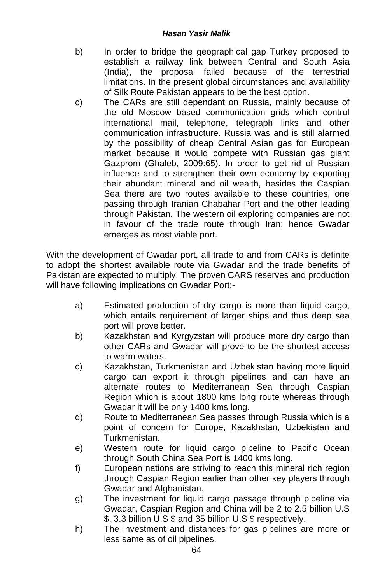- b) In order to bridge the geographical gap Turkey proposed to establish a railway link between Central and South Asia (India), the proposal failed because of the terrestrial limitations. In the present global circumstances and availability of Silk Route Pakistan appears to be the best option.
- c) The CARs are still dependant on Russia, mainly because of the old Moscow based communication grids which control international mail, telephone, telegraph links and other communication infrastructure. Russia was and is still alarmed by the possibility of cheap Central Asian gas for European market because it would compete with Russian gas giant Gazprom (Ghaleb, 2009:65). In order to get rid of Russian influence and to strengthen their own economy by exporting their abundant mineral and oil wealth, besides the Caspian Sea there are two routes available to these countries, one passing through Iranian Chabahar Port and the other leading through Pakistan. The western oil exploring companies are not in favour of the trade route through Iran; hence Gwadar emerges as most viable port.

With the development of Gwadar port, all trade to and from CARs is definite to adopt the shortest available route via Gwadar and the trade benefits of Pakistan are expected to multiply. The proven CARS reserves and production will have following implications on Gwadar Port:-

- a) Estimated production of dry cargo is more than liquid cargo, which entails requirement of larger ships and thus deep sea port will prove better.
- b) Kazakhstan and Kyrgyzstan will produce more dry cargo than other CARs and Gwadar will prove to be the shortest access to warm waters.
- c) Kazakhstan, Turkmenistan and Uzbekistan having more liquid cargo can export it through pipelines and can have an alternate routes to Mediterranean Sea through Caspian Region which is about 1800 kms long route whereas through Gwadar it will be only 1400 kms long.
- d) Route to Mediterranean Sea passes through Russia which is a point of concern for Europe, Kazakhstan, Uzbekistan and Turkmenistan.
- e) Western route for liquid cargo pipeline to Pacific Ocean through South China Sea Port is 1400 kms long.
- f) European nations are striving to reach this mineral rich region through Caspian Region earlier than other key players through Gwadar and Afghanistan.
- g) The investment for liquid cargo passage through pipeline via Gwadar, Caspian Region and China will be 2 to 2.5 billion U.S \$, 3.3 billion U.S \$ and 35 billion U.S \$ respectively.
- h) The investment and distances for gas pipelines are more or less same as of oil pipelines.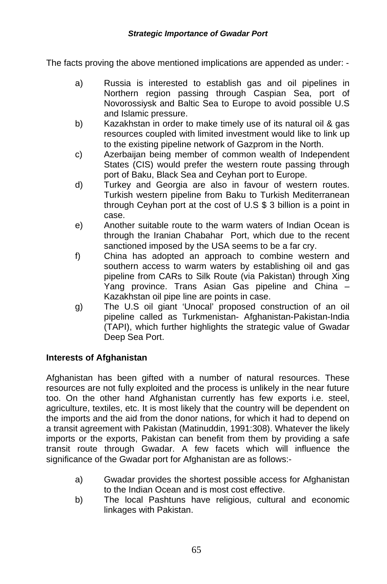The facts proving the above mentioned implications are appended as under: -

- a) Russia is interested to establish gas and oil pipelines in Northern region passing through Caspian Sea, port of Novorossiysk and Baltic Sea to Europe to avoid possible U.S and Islamic pressure.
- b) Kazakhstan in order to make timely use of its natural oil & gas resources coupled with limited investment would like to link up to the existing pipeline network of Gazprom in the North.
- c) Azerbaijan being member of common wealth of Independent States (CIS) would prefer the western route passing through port of Baku, Black Sea and Ceyhan port to Europe.
- d) Turkey and Georgia are also in favour of western routes. Turkish western pipeline from Baku to Turkish Mediterranean through Ceyhan port at the cost of U.S \$ 3 billion is a point in case.
- e) Another suitable route to the warm waters of Indian Ocean is through the Iranian Chabahar Port, which due to the recent sanctioned imposed by the USA seems to be a far cry.
- f) China has adopted an approach to combine western and southern access to warm waters by establishing oil and gas pipeline from CARs to Silk Route (via Pakistan) through Xing Yang province. Trans Asian Gas pipeline and China – Kazakhstan oil pipe line are points in case.
- g) The U.S oil giant 'Unocal' proposed construction of an oil pipeline called as Turkmenistan- Afghanistan-Pakistan-India (TAPI), which further highlights the strategic value of Gwadar Deep Sea Port.

## **Interests of Afghanistan**

Afghanistan has been gifted with a number of natural resources. These resources are not fully exploited and the process is unlikely in the near future too. On the other hand Afghanistan currently has few exports i.e. steel, agriculture, textiles, etc. It is most likely that the country will be dependent on the imports and the aid from the donor nations, for which it had to depend on a transit agreement with Pakistan (Matinuddin, 1991:308). Whatever the likely imports or the exports, Pakistan can benefit from them by providing a safe transit route through Gwadar. A few facets which will influence the significance of the Gwadar port for Afghanistan are as follows:-

- a) Gwadar provides the shortest possible access for Afghanistan to the Indian Ocean and is most cost effective.
- b) The local Pashtuns have religious, cultural and economic linkages with Pakistan.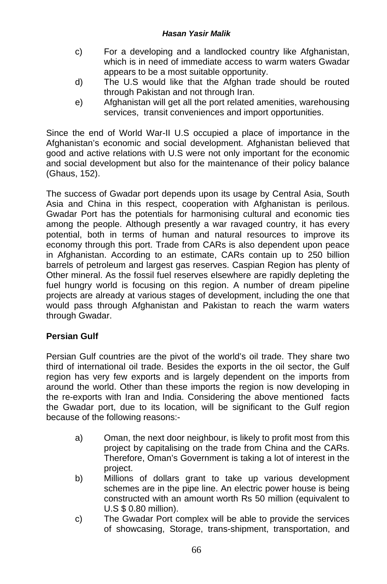- c) For a developing and a landlocked country like Afghanistan, which is in need of immediate access to warm waters Gwadar appears to be a most suitable opportunity.
- d) The U.S would like that the Afghan trade should be routed through Pakistan and not through Iran.
- e) Afghanistan will get all the port related amenities, warehousing services, transit conveniences and import opportunities.

Since the end of World War-II U.S occupied a place of importance in the Afghanistan's economic and social development. Afghanistan believed that good and active relations with U.S were not only important for the economic and social development but also for the maintenance of their policy balance (Ghaus, 152).

The success of Gwadar port depends upon its usage by Central Asia, South Asia and China in this respect, cooperation with Afghanistan is perilous. Gwadar Port has the potentials for harmonising cultural and economic ties among the people. Although presently a war ravaged country, it has every potential, both in terms of human and natural resources to improve its economy through this port. Trade from CARs is also dependent upon peace in Afghanistan. According to an estimate, CARs contain up to 250 billion barrels of petroleum and largest gas reserves. Caspian Region has plenty of Other mineral. As the fossil fuel reserves elsewhere are rapidly depleting the fuel hungry world is focusing on this region. A number of dream pipeline projects are already at various stages of development, including the one that would pass through Afghanistan and Pakistan to reach the warm waters through Gwadar.

## **Persian Gulf**

Persian Gulf countries are the pivot of the world's oil trade. They share two third of international oil trade. Besides the exports in the oil sector, the Gulf region has very few exports and is largely dependent on the imports from around the world. Other than these imports the region is now developing in the re-exports with Iran and India. Considering the above mentioned facts the Gwadar port, due to its location, will be significant to the Gulf region because of the following reasons:-

- a) Oman, the next door neighbour, is likely to profit most from this project by capitalising on the trade from China and the CARs. Therefore, Oman's Government is taking a lot of interest in the project.
- b) Millions of dollars grant to take up various development schemes are in the pipe line. An electric power house is being constructed with an amount worth Rs 50 million (equivalent to U.S \$ 0.80 million).
- c) The Gwadar Port complex will be able to provide the services of showcasing, Storage, trans-shipment, transportation, and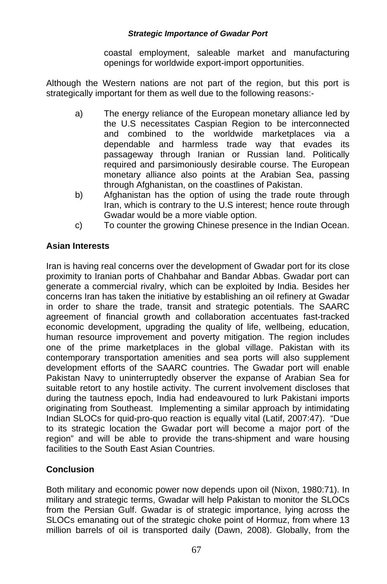coastal employment, saleable market and manufacturing openings for worldwide export-import opportunities.

Although the Western nations are not part of the region, but this port is strategically important for them as well due to the following reasons:-

- a) The energy reliance of the European monetary alliance led by the U.S necessitates Caspian Region to be interconnected and combined to the worldwide marketplaces via a dependable and harmless trade way that evades its passageway through Iranian or Russian land. Politically required and parsimoniously desirable course. The European monetary alliance also points at the Arabian Sea, passing through Afghanistan, on the coastlines of Pakistan.
- b) Afghanistan has the option of using the trade route through Iran, which is contrary to the U.S interest; hence route through Gwadar would be a more viable option.
- c) To counter the growing Chinese presence in the Indian Ocean.

## **Asian Interests**

Iran is having real concerns over the development of Gwadar port for its close proximity to Iranian ports of Chahbahar and Bandar Abbas. Gwadar port can generate a commercial rivalry, which can be exploited by India. Besides her concerns Iran has taken the initiative by establishing an oil refinery at Gwadar in order to share the trade, transit and strategic potentials. The SAARC agreement of financial growth and collaboration accentuates fast-tracked economic development, upgrading the quality of life, wellbeing, education, human resource improvement and poverty mitigation. The region includes one of the prime marketplaces in the global village. Pakistan with its contemporary transportation amenities and sea ports will also supplement development efforts of the SAARC countries. The Gwadar port will enable Pakistan Navy to uninterruptedly observer the expanse of Arabian Sea for suitable retort to any hostile activity. The current involvement discloses that during the tautness epoch, India had endeavoured to lurk Pakistani imports originating from Southeast. Implementing a similar approach by intimidating Indian SLOCs for quid-pro-quo reaction is equally vital (Latif, 2007:47). "Due to its strategic location the Gwadar port will become a major port of the region" and will be able to provide the trans-shipment and ware housing facilities to the South East Asian Countries.

## **Conclusion**

Both military and economic power now depends upon oil (Nixon, 1980:71). In military and strategic terms, Gwadar will help Pakistan to monitor the SLOCs from the Persian Gulf. Gwadar is of strategic importance, lying across the SLOCs emanating out of the strategic choke point of Hormuz, from where 13 million barrels of oil is transported daily (Dawn, 2008). Globally, from the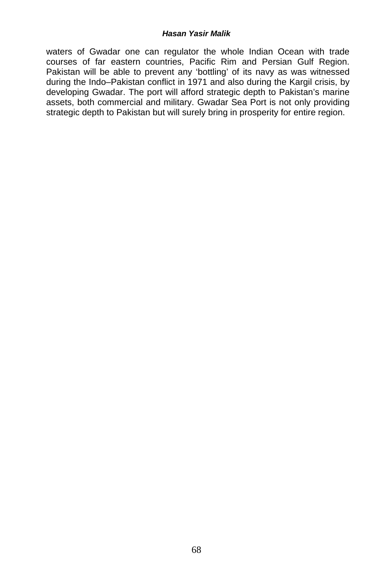waters of Gwadar one can regulator the whole Indian Ocean with trade courses of far eastern countries, Pacific Rim and Persian Gulf Region. Pakistan will be able to prevent any 'bottling' of its navy as was witnessed during the Indo–Pakistan conflict in 1971 and also during the Kargil crisis, by developing Gwadar. The port will afford strategic depth to Pakistan's marine assets, both commercial and military. Gwadar Sea Port is not only providing strategic depth to Pakistan but will surely bring in prosperity for entire region.